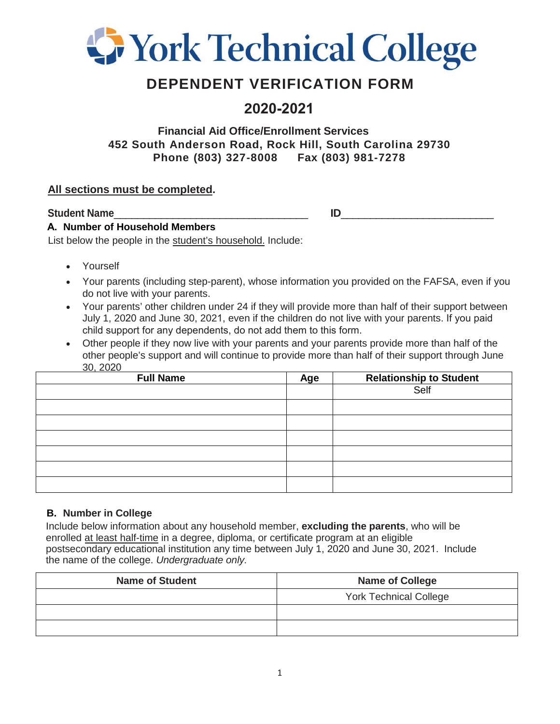

# **DEPENDENT VERIFICATION FORM**

## **2020-2021**

### **Financial Aid Office/Enrollment Services 452 South Anderson Road, Rock Hill, South Carolina 29730 Phone (803) 327-8008 Fax (803) 981-7278**

### **All sections must be completed.**

**Student Name** 

### **A. Number of Household Members**

List below the people in the student's household. Include:

- Yourself
- Your parents (including step-parent), whose information you provided on the FAFSA, even if you do not live with your parents.
- Your parents' other children under 24 if they will provide more than half of their support between July 1, 2020 and June 30, 2021, even if the children do not live with your parents. If you paid child support for any dependents, do not add them to this form.
- Other people if they now live with your parents and your parents provide more than half of the other people's support and will continue to provide more than half of their support through June 30, 2020

| <b>Full Name</b> | Age | <b>Relationship to Student</b> |
|------------------|-----|--------------------------------|
|                  |     | Self                           |
|                  |     |                                |
|                  |     |                                |
|                  |     |                                |
|                  |     |                                |
|                  |     |                                |
|                  |     |                                |

### **B. Number in College**

Include below information about any household member, **excluding the parents**, who will be enrolled at least half-time in a degree, diploma, or certificate program at an eligible postsecondary educational institution any time between July 1, 2020 and June 30, 2021. Include the name of the college. *Undergraduate only.*

| <b>Name of Student</b> | <b>Name of College</b>        |
|------------------------|-------------------------------|
|                        | <b>York Technical College</b> |
|                        |                               |
|                        |                               |